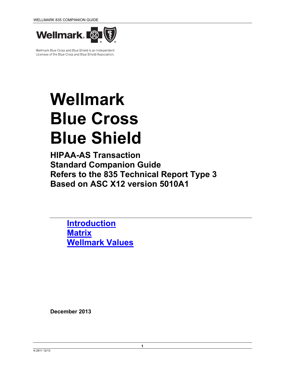

Wellmark Blue Cross and Blue Shield is an Independent Licensee of the Blue Cross and Blue Shield Association.

# **Wellmark Blue Cross Blue Shield**

**HIPAA-AS Transaction Standard Companion Guide Refers to the 835 Technical Report Type 3 Based on ASC X12 version 5010A1** 

**Introduction Matrix Wellmark Values**

**December 2013**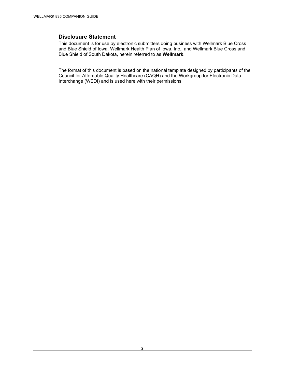# **Disclosure Statement**

This document is for use by electronic submitters doing business with Wellmark Blue Cross and Blue Shield of Iowa, Wellmark Health Plan of Iowa, Inc., and Wellmark Blue Cross and Blue Shield of South Dakota, herein referred to as **Wellmark**.

The format of this document is based on the national template designed by participants of the Council for Affordable Quality Healthcare (CAQH) and the Workgroup for Electronic Data Interchange (WEDI) and is used here with their permissions.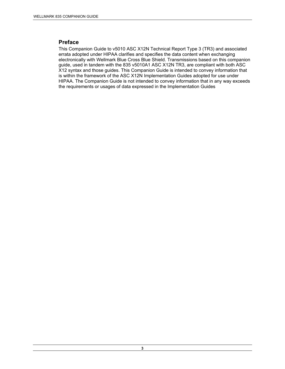#### **Preface**

This Companion Guide to v5010 ASC X12N Technical Report Type 3 (TR3) and associated errata adopted under HIPAA clarifies and specifies the data content when exchanging electronically with Wellmark Blue Cross Blue Shield. Transmissions based on this companion guide, used in tandem with the 835 v5010A1 ASC X12N TR3, are compliant with both ASC X12 syntax and those guides. This Companion Guide is intended to convey information that is within the framework of the ASC X12N Implementation Guides adopted for use under HIPAA. The Companion Guide is not intended to convey information that in any way exceeds the requirements or usages of data expressed in the Implementation Guides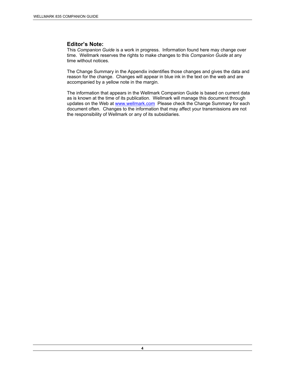#### **Editor's Note:**

This *Companion Guide* is a work in progress. Information found here may change over time. Wellmark reserves the rights to make changes to this *Companion Guide* at any time without notices.

The Change Summary in the Appendix indentifies those changes and gives the data and reason for the change. Changes will appear in blue ink in the text on the web and are accompanied by a yellow note in the margin.

The information that appears in the Wellmark Companion Guide is based on current data as is known at the time of its publication. Wellmark will manage this document through updates on the Web at www.wellmark.com Please check the Change Summary for each document often. Changes to the information that may affect your transmissions are not the responsibility of Wellmark or any of its subsidiaries.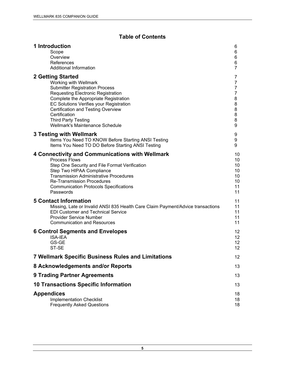# **Table of Contents**

| 1 Introduction                                                                  | 6              |
|---------------------------------------------------------------------------------|----------------|
| Scope                                                                           | 6              |
| Overview                                                                        | 6              |
| References                                                                      | 6              |
| Additional Information                                                          | $\overline{7}$ |
| 2 Getting Started                                                               | 7              |
| Working with Wellmark                                                           | 7              |
| <b>Submitter Registration Process</b>                                           | 7              |
| <b>Requesting Electronic Registration</b>                                       | 7              |
| Complete the Appropriate Registration                                           | 8              |
| EC Solutions Verifies your Registration                                         | 8              |
| Certification and Testing Overview                                              | 8              |
| Certification                                                                   | 8              |
| <b>Third Party Testing</b>                                                      | 8              |
| Wellmark's Maintenance Schedule                                                 | 9              |
| 3 Testing with Wellmark                                                         | 9              |
| Items You Need TO KNOW Before Starting ANSI Testing                             | 9              |
| Items You Need TO DO Before Starting ANSI Testing                               | 9              |
| 4 Connectivity and Communications with Wellmark                                 | 10             |
| <b>Process Flows</b>                                                            | 10             |
| Step One Security and File Format Verification                                  | 10             |
| Step Two HIPAA Compliance                                                       | 10             |
| <b>Transmission Administrative Procedures</b>                                   | 10             |
| <b>Re-Transmission Procedures</b>                                               | 10             |
| <b>Communication Protocols Specifications</b>                                   | 11             |
| Passwords                                                                       | 11             |
| <b>5 Contact Information</b>                                                    | 11             |
| Missing, Late or Invalid ANSI 835 Health Care Claim Payment/Advice transactions | 11             |
| <b>EDI Customer and Technical Service</b>                                       | 11             |
| <b>Provider Service Number</b>                                                  | 11             |
| <b>Communication and Resources</b>                                              | 11             |
| <b>6 Control Segments and Envelopes</b>                                         | 12             |
| <b>ISA-IEA</b>                                                                  | 12             |
| GS-GE                                                                           | 12             |
| ST-SE                                                                           | 12             |
| <b>7 Wellmark Specific Business Rules and Limitations</b>                       | 12             |
| 8 Acknowledgements and/or Reports                                               | 13             |
| <b>9 Trading Partner Agreements</b>                                             | 13             |
| <b>10 Transactions Specific Information</b>                                     | 13             |
| <b>Appendices</b>                                                               | 18             |
| <b>Implementation Checklist</b>                                                 | 18             |
| <b>Frequently Asked Questions</b>                                               | 18             |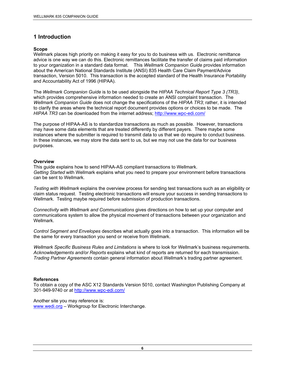# **1 Introduction**

#### **Scope**

Wellmark places high priority on making it easy for you to do business with us. Electronic remittance advice is one way we can do this. Electronic remittances facilitate the transfer of claims paid information to your organization in a standard data format. This *Wellmark Companion Guide* provides information about the American National Standards Institute (ANSI) 835 Health Care Claim Payment/Advice transaction, Version 5010. This transaction is the accepted standard of the Health Insurance Portability and Accountability Act of 1996 (HIPAA).

The *Wellmark Companion Guide* is to be used alongside the *HIPAA Technical Report Type 3 (TR3)*, which provides comprehensive information needed to create an ANSI complaint transaction. The *Wellmark Companion Guide* does not change the specifications of the *HIPAA TR3*; rather, it is intended to clarify the areas where the technical report document provides options or choices to be made. The *HIPAA TR3* can be downloaded from the internet address; http://www.wpc-edi.com/

The purpose of HIPAA-AS is to standardize transactions as much as possible. However, transactions may have some data elements that are treated differently by different payers. There maybe some instances where the submitter is required to transmit data to us that we do require to conduct business. In these instances, we may store the data sent to us, but we may not use the data for our business purposes.

#### **Overview**

This guide explains how to send HIPAA-AS compliant transactions to Wellmark. *Getting Started* with Wellmark explains what you need to prepare your environment before transactions can be sent to Wellmark.

*Testing with Wellmark* explains the overview process for sending test transactions such as an eligibility or claim status request. Testing electronic transactions will ensure your success in sending transactions to Wellmark. Testing maybe required before submission of production transactions.

*Connectivity with Wellmark and Communications* gives directions on how to set up your computer and communications system to allow the physical movement of transactions between your organization and Wellmark.

*Control Segment and Envelopes* describes what actually goes into a transaction. This information will be the same for every transaction you send or receive from Wellmark.

*Wellmark Specific Business Rules and Limitations* is where to look for Wellmark's business requirements. *Acknowledgements and/or Reports* explains what kind of reports are returned for each transmission. *Trading Partner Agreements* contain general information about Wellmark's trading partner agreement.

#### **References**

To obtain a copy of the ASC X12 Standards Version 5010, contact Washington Publishing Company at 301-949-9740 or at http://www.wpc-edi.com/

Another site you may reference is: www.wedi.org – Workgroup for Electronic Interchange.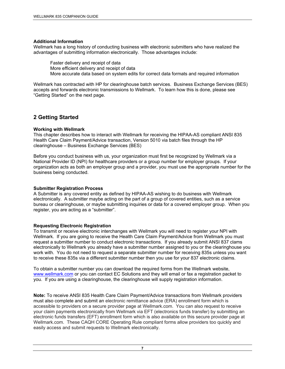#### **Additional Information**

Wellmark has a long history of conducting business with electronic submitters who have realized the advantages of submitting information electronically. Those advantages include:

Faster delivery and receipt of data More efficient delivery and receipt of data More accurate data based on system edits for correct data formats and required information

Wellmark has contracted with HP for clearinghouse batch services. Business Exchange Services (BES) accepts and forwards electronic transmissions to Wellmark. To learn how this is done, please see "Getting Started" on the next page.

# **2 Getting Started**

#### **Working with Wellmark**

This chapter describes how to interact with Wellmark for receiving the HIPAA-AS compliant ANSI 835 Health Care Claim Payment/Advice transaction, Version 5010 via batch files through the HP clearinghouse – Business Exchange Services (BES)

Before you conduct business with us, your organization must first be recognized by Wellmark via a National Provider ID (NPI) for healthcare providers or a group number for employer groups. If your organization acts as both an employer group and a provider, you must use the appropriate number for the business being conducted.

#### **Submitter Registration Process**

A Submitter is any covered entity as defined by HIPAA-AS wishing to do business with Wellmark electronically. A submitter maybe acting on the part of a group of covered entities, such as a service bureau or clearinghouse, or maybe submitting inquiries or data for a covered employer group. When you register, you are acting as a "submitter".

#### **Requesting Electronic Registration**

To transmit or receive electronic interchanges with Wellmark you will need to register your NPI with Wellmark. If you are going to receive the Health Care Claim Payment/Advice from Wellmark you must request a submitter number to conduct electronic transactions. If you already submit ANSI 837 clams electronically to Wellmark you already have a submitter number assigned to you or the clearinghouse you work with. You do not need to request a separate submitter number for receiving 835s unless you want to receive these 835s via a different submitter number then you use for your 837 electronic claims.

To obtain a submitter number you can download the required forms from the Wellmark website, www.wellmark.com or you can contact EC Solutions and they will email or fax a registration packet to you. If you are using a clearinghouse, the clearinghouse will supply registration information.

**Note:** To receive ANSI 835 Health Care Claim Payment/Advice transactions from Wellmark providers must also complete and submit an electronic remittance advice (ERA) enrollment form which is accessible to providers on a secure provider page at Wellmark.com. You can also request to receive your claim payments electronically from Wellmark via EFT (electronics funds transfer) by submitting an electronic funds transfers (EFT) enrollment form which is also available on this secure provider page at Wellmark.com. These CAQH CORE Operating Rule compliant forms allow providers too quickly and easily access and submit requests to Wellmark electronically.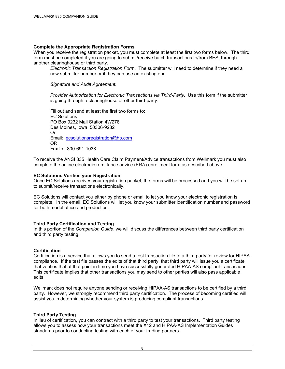#### **Complete the Appropriate Registration Forms**

When you receive the registration packet, you must complete at least the first two forms below. The third form must be completed if you are going to submit/receive batch transactions to/from BES, through another clearinghouse or third party.

*Electronic Transaction Registration Form*. The submitter will need to determine if they need a new submitter number or if they can use an existing one.

*Signature and Audit Agreement.* 

*Provider Authorization for Electronic Transactions via Third-Party*. Use this form if the submitter is going through a clearinghouse or other third-party.

Fill out and send at least the first two forms to: EC Solutions PO Box 9232 Mail Station 4W278 Des Moines, Iowa 50306-9232 Or Email: ecsolutionsregistration@hp.com OR Fax to: 800-691-1038

To receive the ANSI 835 Health Care Claim Payment/Advice transactions from Wellmark you must also complete the online electronic remittance advice (ERA) enrollment form as described above.

#### **EC Solutions Verifies your Registration**

Once EC Solutions receives your registration packet, the forms will be processed and you will be set up to submit/receive transactions electronically.

EC Solutions will contact you either by phone or email to let you know your electronic registration is complete. In the email, EC Solutions will let you know your submitter identification number and password for both model office and production.

#### **Third Party Certification and Testing**

In this portion of the *Companion Guide*, we will discuss the differences between third party certification and third party testing.

#### **Certification**

Certification is a service that allows you to send a test transaction file to a third party for review for HIPAA compliance. If the test file passes the edits of that third party, that third party will issue you a certificate that verifies that at that point in time you have successfully generated HIPAA-AS compliant transactions. This certificate implies that other transactions you may send to other parties will also pass applicable edits.

Wellmark does not require anyone sending or receiving HIPAA-AS transactions to be certified by a third party. However, we strongly recommend third party certification. The process of becoming certified will assist you in determining whether your system is producing compliant transactions.

#### **Third Party Testing**

In lieu of certification, you can contract with a third party to test your transactions. Third party testing allows you to assess how your transactions meet the X12 and HIPAA-AS Implementation Guides standards prior to conducting testing with each of your trading partners.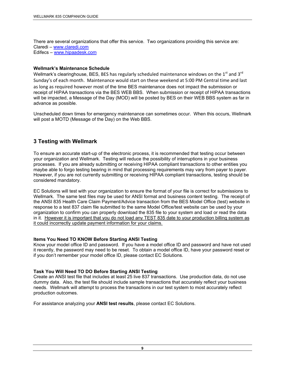There are several organizations that offer this service. Two organizations providing this service are: Claredi – www.claredi.com Edifecs – www.hipaadesk.com

#### **Wellmark's Maintenance Schedule**

Wellmark's clearinghouse, BES, BES has regularly scheduled maintenance windows on the  $1<sup>st</sup>$  and  $3<sup>rd</sup>$ Sunday's of each month. Maintenance would start on these weekend at 5:00 PM Central time and last as long as required however most of the time BES maintenance does not impact the submission or receipt of HIPAA transactions via the BES WEB BBS. When submission or receipt of HIPAA transactions will be impacted, a Message of the Day (MOD) will be posted by BES on their WEB BBS system as far in advance as possible.

Unscheduled down times for emergency maintenance can sometimes occur. When this occurs, Wellmark will post a MOTD (Message of the Day) on the Web BBS.

# **3 Testing with Wellmark**

To ensure an accurate start-up of the electronic process, it is recommended that testing occur between your organization and Wellmark. Testing will reduce the possibility of interruptions in your business processes. If you are already submitting or receiving HIPAA compliant transactions to other entities you maybe able to forgo testing bearing in mind that processing requirements may vary from payer to payer. However, if you are not currently submitting or receiving HIPAA compliant transactions, testing should be considered mandatory.

EC Solutions will test with your organization to ensure the format of your file is correct for submissions to Wellmark. The same test files may be used for ANSI format and business content testing. The receipt of the ANSI 835 Health Care Claim Payment/Advice transaction from the BES Model Office (test) website in response to a test 837 claim file submitted to the same Model Office/test website can be used by your organization to confirm you can properly download the 835 file to your system and load or read the data in it. However it is important that you do not load any TEST 835 date to your production billing system as it could incorrectly update payment information for your claims.

#### **Items You Need TO KNOW Before Starting ANSI Testing**

Know your model office ID and password. If you have a model office ID and password and have not used it recently, the password may need to be reset. To obtain a model office ID, have your password reset or if you don't remember your model office ID, please contact EC Solutions.

#### **Task You Will Need TO DO Before Starting ANSI Testing**

Create an ANSI test file that includes at least 25 live 837 transactions. Use production data, do not use dummy data. Also, the test file should include sample transactions that accurately reflect your business needs. Wellmark will attempt to process the transactions in our test system to most accurately reflect production outcomes.

For assistance analyzing your **ANSI test results**, please contact EC Solutions.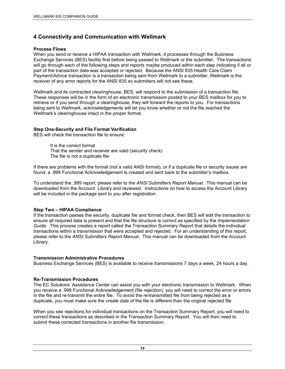# **4 Connectivity and Communication with Wellmark**

#### **Process Flows**

When you send or receive a HIPAA transaction with Wellmark, it processes through the Business Exchange Services (BES) facility first before being passed to Wellmark or the submitter. The transactions will go through each of the following steps and reports maybe produced within each step indicating if all or part of the transaction data was accepted or rejected. Because the ANSI 835 Health Care Claim Payment/Advice transaction is a transaction being sent from Wellmark to a submitter, Wellmark is the receiver of any error reports for the ANSI 835 so submitters will not see these.

Wellmark and its contracted clearinghouse, BES, will respond to the submission of a transaction file. These responses will be in the form of an electronic transmission posted to your BES mailbox for you to retrieve or if you send through a clearinghouse, they will forward the reports to you. For transactions being sent to Wellmark, acknowledgements will let you know whether or not the file reached the Wellmark's clearinghouse intact in the proper format.

#### **Step One-Security and File Format Verification**

BES will check the transaction file to ensure:

It is the correct format That the sender and receiver are valid (security check) The file is not a duplicate file

If there are problems with the format (not a valid ANSI format), or if a duplicate file or security issues are found, a .999 Functional Acknowledgement is created and sent back to the submitter's mailbox.

To understand the .999 report, please refer to the *ANSI Submitters Report Manual*. This manual can be downloaded from the Account Library and reviewed. Instructions on how to access the Account Library will be included in the package sent to you after registration.

#### **Step Two – HIPAA Compliance**

If the transaction passes the security, duplicate file and format check, then BES will edit the transaction to ensure all required data is present and that the file structure is correct as specified by the *Implementation Guide*. This process creates a report called the Transaction Summary Report that details the individual transactions within a transmission that were accepted and rejected. For an understanding of this report, please refer to the *ANSI Submitters Report Manual*. This manual can be downloaded from the Account Library.

#### **Transmission Administrative Procedures**

Business Exchange Services (BES) is available to receive transmissions 7 days a week, 24 hours a day.

#### **Re-Transmission Procedures**

The EC Solutions' Assistance Center can assist you with your electronic transmission to Wellmark. When you receive a .999 Functional Acknowledgement (file rejection), you will need to correct the error or errors in the file and re-transmit the entire file. To avoid the re-transmitted file from being rejected as a duplicate, you must make sure the create date of the file is different than the original rejected file.

When you see rejections for individual transactions on the Transaction Summary Report, you will need to correct these transactions as described in the Transaction Summary Report. You will then need to submit these corrected transactions in another file transmission.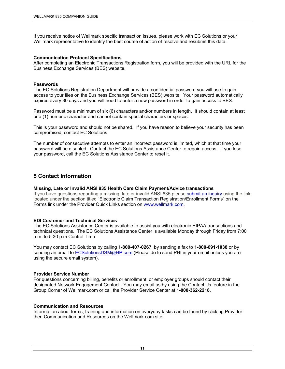If you receive notice of Wellmark specific transaction issues, please work with EC Solutions or your Wellmark representative to identify the best course of action of resolve and resubmit this data.

#### **Communication Protocol Specifications**

After completing an Electronic Transactions Registration form, you will be provided with the URL for the Business Exchange Services (BES) website.

#### **Passwords**

The EC Solutions Registration Department will provide a confidential password you will use to gain access to your files on the Business Exchange Services (BES) website. Your password automatically expires every 30 days and you will need to enter a new password in order to gain access to BES.

Password must be a minimum of six (6) characters and/or numbers in length. It should contain at least one (1) numeric character and cannot contain special characters or spaces.

This is your password and should not be shared. If you have reason to believe your security has been compromised, contact EC Solutions.

The number of consecutive attempts to enter an incorrect password is limited, which at that time your password will be disabled. Contact the EC Solutions Assistance Center to regain access. If you lose your password, call the EC Solutions Assistance Center to reset it.

# **5 Contact Information**

#### **Missing, Late or Invalid ANSI 835 Health Care Claim Payment/Advice transactions**

If you have questions regarding a missing, late or invalid ANSI 835 please submit an inquiry using the link located under the section titled "Electronic Claim Transaction Registration/Enrollment Forms" on the Forms link under the Provider Quick Links section on www.wellmark.com.

#### **EDI Customer and Technical Services**

The EC Solutions Assistance Center is available to assist you with electronic HIPAA transactions and technical questions. The EC Solutions Assistance Center is available Monday through Friday from 7:00 a.m. to 5:30 p.m Central Time.

You may contact EC Solutions by calling **1-800-407-0267**, by sending a fax to **1-800-691-1038** or by sending an email to ECSolutionsDSM@HP.com (Please do to send PHI in your email unless you are using the secure email system).

#### **Provider Service Number**

For questions concerning billing, benefits or enrollment, or employer groups should contact their designated Network Engagement Contact. You may email us by using the Contact Us feature in the Group Corner of Wellmark.com or call the Provider Service Center at **1-800-362-2218**.

#### **Communication and Resources**

Information about forms, training and information on everyday tasks can be found by clicking Provider then Communication and Resources on the Wellmark.com site.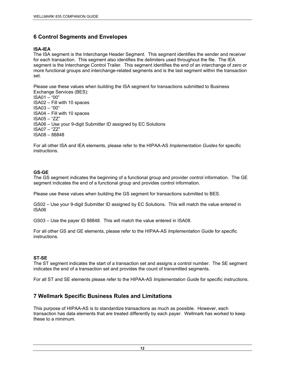# **6 Control Segments and Envelopes**

#### **ISA-IEA**

The ISA segment is the Interchange Header Segment. This segment identifies the sender and receiver for each transaction. This segment also identifies the delimiters used throughout the file. The IEA segment is the Interchange Control Trailer. This segment identifies the end of an interchange of zero or more functional groups and interchange-related segments and is the last segment within the transaction set.

Please use these values when building the ISA segment for transactions submitted to Business Exchange Services (BES): ISA01 – "00" ISA02 – Fill with 10 spaces ISA03 – "00" ISA04 – Fill with 10 spaces ISA05 – "ZZ" ISA06 – Use your 9-digit Submitter ID assigned by EC Solutions ISA07 – "ZZ"

For all other ISA and IEA elements, please refer to the HIPAA-AS *Implementation Guides* for specific instructions.

#### **GS-GE**

ISA08 – 88848

The GS segment indicates the beginning of a functional group and provider control information. The GE segment indicates the end of a functional group and provides control information.

Please use these values when building the GS segment for transactions submitted to BES.

GS02 – Use your 9-digit Submitter ID assigned by EC Solutions. This will match the value entered in ISA06

GS03 – Use the payer ID 88848. This will match the value entered in ISA08.

For all other GS and GE elements, please refer to the HIPAA-AS *Implementation Guide* for specific instructions.

#### **ST-SE**

The ST segment indicates the start of a transaction set and assigns a control number. The SE segment indicates the end of a transaction set and provides the count of transmitted segments.

For all ST and SE elements please refer to the HIPAA-AS *Implementation Guide* for specific instructions.

# **7 Wellmark Specific Business Rules and Limitations**

This purpose of HIPAA-AS is to standardize transactions as much as possible. However, each transaction has data elements that are treated differently by each payer. Wellmark has worked to keep these to a minimum.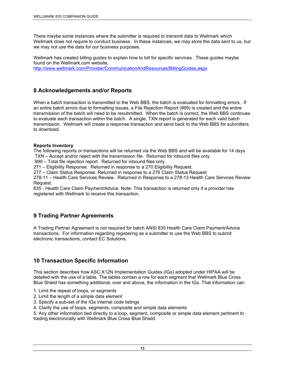There maybe some instances where the submitter is required to transmit data to Wellmark which Wellmark does not require to conduct business. In these instances, we may store the data sent to us, but we may not use the data for our business purposes.

Wellmark has created billing guides to explain how to bill for specific services. These guides maybe found on the Wellmark.com website, http://www.wellmark.com/Provider/CommunicationAndResources/BillingGuides.aspx

# **8 Acknowledgements and/or Reports**

When a batch transaction is transmitted to the Web BBS, the batch is evaluated for formatting errors. If an entire batch errors due to formatting issues, a File Rejection Report (999) is created and the entire transmission of the batch will need to be resubmitted. When the batch is correct, the Web BBS continues to evaluate each transaction within the batch. A single, TXN report is generated for each valid batch transmission. Wellmark will create a response transaction and send back to the Web BBS for submitters to download.

#### **Reports Inventory**

The following reports or transactions will be returned via the Web BBS and will be available for 14 days. .TXN – Accept and/or reject with the transmission file. Returned for inbound files only.

.999 – Total file rejection report. Returned for inbound files only.

271 – Eligibility Response. Returned in response to a 270 Eligibility Request.

277 – Claim Status Response. Returned in response to a 276 Claim Status Request

278-11 – Health Care Services Review. Returned in Response to a 278-13 Health Care Services Review Request.

835 - Health Care Claim Payment/Advice. Note- This transaction is returned only if a provider has registered with Wellmark to receive this transaction.

# **9 Trading Partner Agreements**

A Trading Partner Agreement is not required for batch ANSI 835 Health Care Claim Payment/Advice transactions. For information regarding registering as a submitter to use the Web BBS to submit electronic transactions, contact EC Solutions.

# **10 Transaction Specific Information**

This section describes how ASC X12N Implementation Guides (IGs) adopted under HIPAA will be detailed with the use of a table. The tables contain a row for each segment that Wellmark Blue Cross Blue Shield has something additional, over and above, the information in the IGs. That information can:

- 1. Limit the repeat of loops, or segments
- 2. Limit the length of a simple data element
- 3. Specify a sub-set of the IGs internal code listings
- 4. Clarify the use of loops, segments, composite and simple data elements

5. Any other information tied directly to a loop, segment, composite or simple data element pertinent to trading electronically with Wellmark Blue Cross Blue Shield.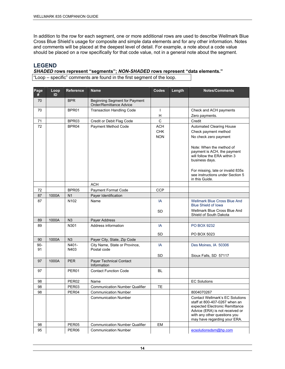In addition to the row for each segment, one or more additional rows are used to describe Wellmark Blue Cross Blue Shield's usage for composite and simple data elements and for any other information. Notes and comments will be placed at the deepest level of detail. For example, a note about a code value should be placed on a row specifically for that code value, not in a general note about the segment.

# **LEGEND**

*SHADED* **rows represent "segments";** *NON-SHADED* **rows represent "data elements."**  "Loop – specific" comments are found in the first segment of the loop.

| Page<br>#   | Loop<br>ID | <b>Reference</b>  | <b>Name</b>                                              | Codes        | Length | <b>Notes/Comments</b>                                                                                                                                                                                        |
|-------------|------------|-------------------|----------------------------------------------------------|--------------|--------|--------------------------------------------------------------------------------------------------------------------------------------------------------------------------------------------------------------|
| 70          |            | <b>BPR</b>        | Beginning Segment for Payment<br>Order/Remittance Advice |              |        |                                                                                                                                                                                                              |
| 70          |            | BPR01             | <b>Transaction Handling Code</b>                         | $\mathbf{I}$ |        | Check and ACH payments                                                                                                                                                                                       |
|             |            |                   |                                                          | н            |        | Zero payments.                                                                                                                                                                                               |
| 71          |            | BPR03             | Credit or Debit Flag Code                                | $\mathsf C$  |        | Credit                                                                                                                                                                                                       |
| 72          |            | BPR04             | Payment Method Code                                      | <b>ACH</b>   |        | Automated Clearing House                                                                                                                                                                                     |
|             |            |                   |                                                          | <b>CHK</b>   |        | Check payment method                                                                                                                                                                                         |
|             |            |                   |                                                          | <b>NON</b>   |        | No check zero payment                                                                                                                                                                                        |
|             |            |                   |                                                          |              |        | Note: When the method of<br>payment is ACH, the payment<br>will follow the ERA within 3<br>business days.                                                                                                    |
|             |            |                   |                                                          |              |        | For missing, late or invalid 835s<br>see instructions under Section 5<br>in this Guide.                                                                                                                      |
|             |            |                   | <b>ACH</b>                                               |              |        |                                                                                                                                                                                                              |
| 72          |            | BPR05             | Payment Format Code                                      | <b>CCP</b>   |        |                                                                                                                                                                                                              |
| 87          | 1000A      | N <sub>1</sub>    | Payer Identification                                     |              |        |                                                                                                                                                                                                              |
| 87          |            | N <sub>102</sub>  | Name                                                     | IA           |        | Wellmark Blue Cross Blue And<br><b>Blue Shield of Iowa</b>                                                                                                                                                   |
|             |            |                   |                                                          | SD           |        | Wellmark Blue Cross Blue And<br>Shield of South Dakota                                                                                                                                                       |
| 89          | 1000A      | N3                | Payer Address                                            |              |        |                                                                                                                                                                                                              |
| 89          |            | N301              | Address information                                      | IA           |        | <b>PO BOX 9232</b>                                                                                                                                                                                           |
|             |            |                   |                                                          | <b>SD</b>    |        | PO BOX 5023                                                                                                                                                                                                  |
| 90          | 1000A      | N <sub>3</sub>    | Payer City, State, Zip Code                              |              |        |                                                                                                                                                                                                              |
| $90-$<br>91 |            | N401-<br>N403     | City Name, State or Province,<br>Postal code             | IA           |        | Des Moines, IA 50306                                                                                                                                                                                         |
|             |            |                   |                                                          | SD           |        | Sioux Falls, SD 57117                                                                                                                                                                                        |
| 97          | 1000A      | <b>PER</b>        | <b>Payer Technical Contact</b><br>Information            |              |        |                                                                                                                                                                                                              |
| 97          |            | PER <sub>01</sub> | <b>Contact Function Code</b>                             | BL           |        |                                                                                                                                                                                                              |
| 98          |            | PER <sub>02</sub> | Name                                                     |              |        | <b>EC Solutions</b>                                                                                                                                                                                          |
| 98          |            | PER <sub>03</sub> | <b>Communication Number Qualifier</b>                    | TE           |        |                                                                                                                                                                                                              |
| 98          |            | PER04             | <b>Communication Number</b>                              |              |        | 8004070267                                                                                                                                                                                                   |
|             |            |                   | <b>Communication Number</b>                              |              |        | <b>Contact Wellmark's EC Solutions</b><br>staff at 800-407-0267 when an<br>expected Electronic Remittance<br>Advice (ERA) is not received or<br>with any other questions you<br>may have regarding your ERA. |
| 98          |            | PER05             | <b>Communication Number Qualifier</b>                    | EM           |        |                                                                                                                                                                                                              |
| 95          |            | PER06             | <b>Communication Number</b>                              |              |        | ecsolutionsdsm@hp.com                                                                                                                                                                                        |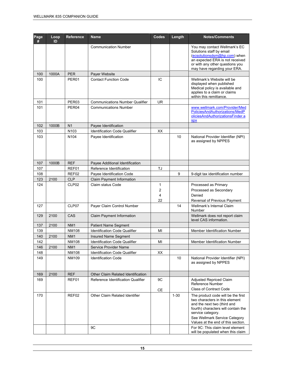| Page<br># | Loop<br>ID | <b>Reference</b> | <b>Name</b>                            | Codes             | Length   | <b>Notes/Comments</b>                                                                                                                                                                                                                                                                                       |
|-----------|------------|------------------|----------------------------------------|-------------------|----------|-------------------------------------------------------------------------------------------------------------------------------------------------------------------------------------------------------------------------------------------------------------------------------------------------------------|
|           |            |                  | <b>Communication Number</b>            |                   |          | You may contact Wellmark's EC<br>Solutions staff by email<br>(ecsolutionsdsm@hp.com) when<br>an expected ERA is not received<br>or with any other questions you<br>may have regarding your ERA.                                                                                                             |
| 100       | 1000A      | <b>PER</b>       | Payer Website                          |                   |          |                                                                                                                                                                                                                                                                                                             |
| 100       |            | PER01            | <b>Contact Function Code</b>           | IC                |          | Wellmark's Website will be<br>displayed when published<br>Medical policy is available and<br>applies to a claim or claims<br>within this remittance.                                                                                                                                                        |
| 101       |            | PER03            | <b>Communications Number Qualifier</b> | <b>UR</b>         |          |                                                                                                                                                                                                                                                                                                             |
| 101       |            | PER04            | <b>Communications Number</b>           |                   |          | www.wellmark.com/Provider/Med<br>PoliciesAndAuthorizations/MedP<br>oliciesAndAuthorizationsFinder.a<br><b>Spx</b>                                                                                                                                                                                           |
| 102       | 1000B      | N <sub>1</sub>   | Payee Identification                   |                   |          |                                                                                                                                                                                                                                                                                                             |
| 103       |            | N <sub>103</sub> | <b>Identification Code Qualifier</b>   | XХ                |          |                                                                                                                                                                                                                                                                                                             |
| 103       |            | N <sub>104</sub> | Payee Identification                   |                   | 10       | National Provider Identifier (NPI)<br>as assigned by NPPES                                                                                                                                                                                                                                                  |
| 107       | 1000B      | <b>REF</b>       | Payee Additional Identification        |                   |          |                                                                                                                                                                                                                                                                                                             |
| 107       |            | REF01            | Reference Identification               | TJ                |          |                                                                                                                                                                                                                                                                                                             |
| 108       |            | REF02            | Payee Identification Code              |                   | 9        | 9-digit tax identification number                                                                                                                                                                                                                                                                           |
| 123       | 2100       | <b>CLP</b>       | Claim Payment Information              |                   |          |                                                                                                                                                                                                                                                                                                             |
| 124       |            | CLP02            | Claim status Code                      | 1<br>2<br>4<br>22 |          | Processed as Primary<br>Processed as Secondary<br>Denied<br>Reversal of Previous Payment                                                                                                                                                                                                                    |
| 127       |            | CLP07            | Payer Claim Control Number             |                   | 14       | Wellmark's Internal Claim<br>Number                                                                                                                                                                                                                                                                         |
| 129       | 2100       | CAS              | Claim Payment Information              |                   |          | Wellmark does not report claim<br>level CAS information.                                                                                                                                                                                                                                                    |
| 137       | 2100       | NM <sub>1</sub>  | <b>Patient Name Segment</b>            |                   |          |                                                                                                                                                                                                                                                                                                             |
| 139       |            | <b>NM108</b>     | <b>Identification Code Qualifier</b>   | MI                |          | <b>Member Identification Number</b>                                                                                                                                                                                                                                                                         |
| 140       | 2100       | NM <sub>1</sub>  | Insured Name Segment                   |                   |          |                                                                                                                                                                                                                                                                                                             |
| 142       |            | <b>NM108</b>     | Identification Code Qualifier          | $\mathsf{MI}$     |          | Member Identification Number                                                                                                                                                                                                                                                                                |
| 146       | 2100       | NM <sub>1</sub>  | Service Provider Name                  |                   |          |                                                                                                                                                                                                                                                                                                             |
| 148       |            | <b>NM108</b>     | Identification Code Qualifier          | XX                |          |                                                                                                                                                                                                                                                                                                             |
| 149       |            | NM109            | <b>Identification Code</b>             |                   | 10       | National Provider Identifier (NPI)<br>as assigned by NPPES                                                                                                                                                                                                                                                  |
| 169       | 2100       | <b>REF</b>       | Other Claim Related Identification     |                   |          |                                                                                                                                                                                                                                                                                                             |
| 169       |            | REF01            | Reference Identification Qualifier     | 9C                |          | <b>Adjusted Repriced Claim</b><br>Reference Number                                                                                                                                                                                                                                                          |
| 170       |            | REF02            | Other Claim Related Identifier<br>9C   | CE                | $1 - 30$ | <b>Class of Contract Code</b><br>The product code will be the first<br>two characters in this element<br>and the next two (third and<br>fourth) characters will contain the<br>service category.<br>See Wellmark Service Category<br>Values at the end of this section.<br>For 9C: This claim level element |
|           |            |                  |                                        |                   |          | will be populated when this claim                                                                                                                                                                                                                                                                           |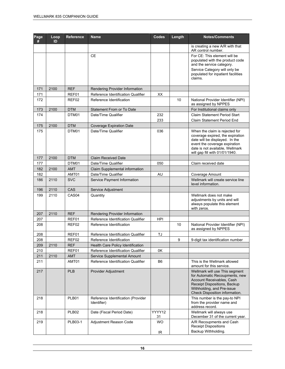| Page<br># | Loop<br>ID | <b>Reference</b>  | <b>Name</b>                                       | Codes        | Length | <b>Notes/Comments</b>                                                                                                                                                                                      |
|-----------|------------|-------------------|---------------------------------------------------|--------------|--------|------------------------------------------------------------------------------------------------------------------------------------------------------------------------------------------------------------|
|           |            |                   |                                                   |              |        | is creating a new A/R with that<br>AR control number.                                                                                                                                                      |
|           |            |                   | <b>CE</b>                                         |              |        | For CE: This element will be<br>populated with the product code<br>and the service category.                                                                                                               |
|           |            |                   |                                                   |              |        | Service Category will only be<br>populated for inpatient facilities<br>claims.                                                                                                                             |
| 171       | 2100       | <b>REF</b>        | Rendering Provider Information                    |              |        |                                                                                                                                                                                                            |
| 171       |            | REF01             | Reference Identification Qualifier                | XX           |        |                                                                                                                                                                                                            |
| 172       |            | REF02             | Reference Identification                          |              | 10     | National Provider Identifier (NPI)<br>as assigned by NPPES                                                                                                                                                 |
| 173       | 2100       | <b>DTM</b>        | Statement From or To Date                         |              |        | For Institutional claims only                                                                                                                                                                              |
| 174       |            | DTM01             | Date/Time Qualifier                               | 232          |        | Claim Statement Period Start                                                                                                                                                                               |
|           |            |                   |                                                   | 233          |        | Claim Statement Period End                                                                                                                                                                                 |
| 175       | 2100       | <b>DTM</b>        | <b>Coverage Expiration Date</b>                   |              |        |                                                                                                                                                                                                            |
| 175       |            | DTM01             | Date/Time Qualifier                               | 036          |        | When the claim is rejected for<br>coverage expired, the expiration<br>date will be displayed. In the<br>event the coverage expiration<br>date is not available, Wellmark<br>will gap fill with 01/01/1940. |
| 177       | 2100       | <b>DTM</b>        | <b>Claim Received Date</b>                        |              |        |                                                                                                                                                                                                            |
| 177       |            | DTM01             | Date/Time Qualifier                               | 050          |        | Claim received date                                                                                                                                                                                        |
| 182       | 2100       | <b>AMT</b>        | Claim Supplemental information                    |              |        |                                                                                                                                                                                                            |
| 182       |            | AMT01             | Date/Time Qualifier                               | AU           |        | Coverage Amount                                                                                                                                                                                            |
| 186       | 2110       | <b>SVC</b>        | Service Payment Information                       |              |        | Wellmark will create service line<br>level information.                                                                                                                                                    |
| 196       | 2110       | CAS               | Service Adjustment                                |              |        |                                                                                                                                                                                                            |
| 199       | 2110       | CAS <sub>04</sub> | Quantity                                          |              |        | Wellmark does not make<br>adjustments by units and will<br>always populate this element<br>with zeros.                                                                                                     |
| 207       | 2110       | <b>REF</b>        | Rendering Provider Information                    |              |        |                                                                                                                                                                                                            |
| 207       |            | REF01             | Reference Identification Qualifier                | <b>HPI</b>   |        |                                                                                                                                                                                                            |
| 208       |            | REF02             | Reference Identification                          |              | 10     | National Provider Identifier (NPI)<br>as assigned by NPPES                                                                                                                                                 |
| 208       |            | REF01             | Reference Identification Qualifier                | TJ           |        |                                                                                                                                                                                                            |
| 208       |            | REF02             | Reference Identification                          |              | 9      | 9-digit tax identification number                                                                                                                                                                          |
| 209       | 2110       | <b>REF</b>        | Health Care Policy Identification                 |              |        |                                                                                                                                                                                                            |
| 210       |            | REF01             | Reference Identification Qualifier                | 0K           |        |                                                                                                                                                                                                            |
| 211       | 2110       | AMT               | Service Supplemental Amount                       |              |        |                                                                                                                                                                                                            |
| 211       |            | AMT01             | Reference Identification Qualifier                | B6           |        | This is the Wellmark allowed<br>amount for this service.                                                                                                                                                   |
| 217       |            | <b>PLB</b>        | Provider Adjustment                               |              |        | Wellmark will use This segment<br>for Automatic Recoupments, new<br>Account Receivables, Cash<br>Receipt Dispositions, Backup<br>Withholding, and Pre-issue<br>Check Disposition information.              |
| 218       |            | PLB01             | Reference Identification (Provider<br>Identifier) |              |        | This number is the pay-to NPI<br>from the provider name and<br>address record.                                                                                                                             |
| 218       |            | PLB <sub>02</sub> | Date (Fiscal Period Date)                         | YYYY12<br>31 |        | Wellmark will always use<br>December 31 of the current year.                                                                                                                                               |
| 219       |            | PLB03-1           | Adjustment Reason Code                            | <b>WO</b>    |        | A/R Recoupments and Cash<br><b>Receipt Dispositions</b>                                                                                                                                                    |
|           |            |                   |                                                   | IR.          |        | Backup Withholding.                                                                                                                                                                                        |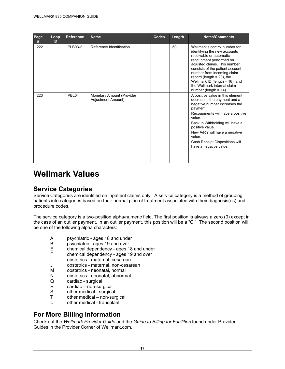| Page<br># | Loop<br>ID | <b>Reference</b> | <b>Name</b>                                     | <b>Codes</b> | Length | <b>Notes/Comments</b>                                                                                                                                                                                                                                                                                                                                |
|-----------|------------|------------------|-------------------------------------------------|--------------|--------|------------------------------------------------------------------------------------------------------------------------------------------------------------------------------------------------------------------------------------------------------------------------------------------------------------------------------------------------------|
| 222       |            | PLB03-2          | Reference Identification                        |              | 50     | Wellmark's control number for<br>identifying the new accounts<br>receivable or automatic<br>recoupment performed on<br>adjusted claims. This number<br>consists of the patient account<br>number from incoming claim<br>record (length $= 20$ ), the<br>Wellmark ID (length $= 16$ ), and<br>the Wellmark internal claim<br>number (length $= 14$ ). |
| 223       |            | PBL04            | Monetary Amount (Provider<br>Adjustment Amount) |              |        | A positive value in this element<br>decreases the payment and a<br>negative number increases the<br>payment.<br>Recoupments will have a positive<br>value.<br>Backup Withholding will have a<br>positive value.<br>New A/R's will have a negative<br>value.<br>Cash Receipt Dispositions will<br>have a negative value.                              |

# **Wellmark Values**

# **Service Categories**

Service Categories are identified on inpatient claims only. A service category is a method of grouping patients into categories based on their normal plan of treatment associated with their diagnosis(es) and procedure codes.

The service category is a two-position alpha/numeric field. The first position is always a zero (0) except in the case of an outlier payment. In an outlier payment, this position will be a "C." The second position will be one of the following alpha characters:

- A psychiatric ages 18 and under<br>B psychiatric ages 19 and over
- B psychiatric ages 19 and over<br>E chemical dependency ages 1
- E chemical dependency ages 18 and under<br>F chemical dependency ages 19 and over
- chemical dependency ages 19 and over
- I obstetrics maternal, cesarean
- J obstetrics maternal, non-cesarean
- M obstetrics neonatal, normal
- N obstetrics neonatal, abnormal
- Q cardiac surgical
- R cardiac non-surgical<br>S other medical surgical
- S other medical surgical<br>T other medical non-sur
- $other$  medical non-surgical
- U other medical transplant

# **For More Billing Information**

Check out the *Wellmark Provider Guide* and the *Guide to Billing for Facilities* found under Provider Guides in the Provider Corner of Wellmark.com.